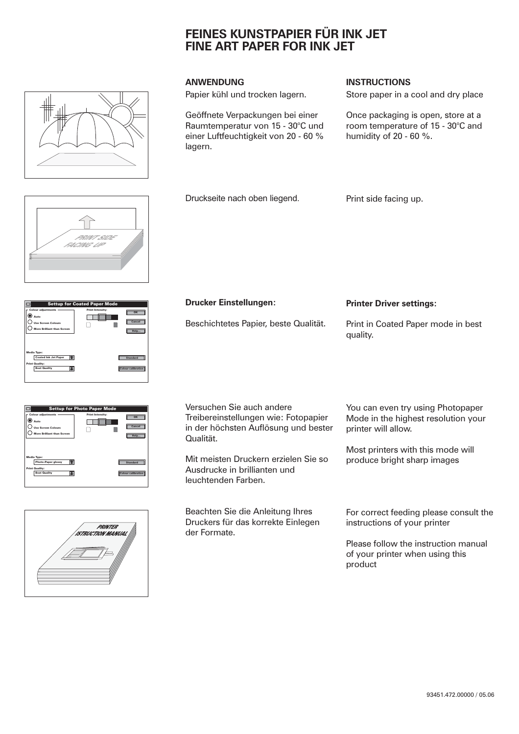## **FEINES KUNSTPAPIER FÜR INK JET FINE ART PAPER FOR INK JET**

Papier kühl und trocken lagern.

Druckseite nach oben liegend.

Geöffnete Verpackungen bei einer Raumtemperatur von 15 - 30°C und einer Luftfeuchtigkeit von 20 - 60 % lagern.

## **ANWENDUNG INSTRUCTIONS**

Print side facing up.

Store paper in a cool and dry place

Once packaging is open, store at a room temperature of 15 - 30°C and humidity of 20 - 60 %.

PRINT SIDE FACING UP

| <b>Settup for Coated Paper Mode</b>                                                                   |                                                 |  |  |  |
|-------------------------------------------------------------------------------------------------------|-------------------------------------------------|--|--|--|
| <b>Colour adjustments</b><br>) Auto<br><b>Use Screen Colours</b><br><b>More Brilliant than Screen</b> | <b>Print Intensity:</b><br>OK<br>Cancel<br>Help |  |  |  |
| Media Type:<br><b>Coated Ink Jet Paper</b><br><b>Print Quality:</b><br><b>Best Quality</b>            | <b>Standard</b><br><b>Colour calibration</b>    |  |  |  |

| <b>Settup for Photo Paper Mode</b>                                                                  |                                                 |  |  |
|-----------------------------------------------------------------------------------------------------|-------------------------------------------------|--|--|
| <b>Colour adjustments</b><br>Auto<br><b>Use Screen Colours</b><br><b>More Brilliant than Screen</b> | <b>Print Intensity:</b><br>OK<br>Cancel<br>Help |  |  |
| Media Type:<br><b>Photo-Paper glossy</b>                                                            | <b>Standard</b>                                 |  |  |
| <b>Print Quality:</b><br><b>Best Quality</b>                                                        | <b>Colour calibration</b>                       |  |  |



Versuchen Sie auch andere Treibereinstellungen wie: Fotopapier in der höchsten Auflösung und bester

Mit meisten Druckern erzielen Sie so Ausdrucke in brillianten und leuchtenden Farben.

Qualität.

Beachten Sie die Anleitung Ihres Druckers für das korrekte Einlegen der Formate.

You can even try using Photopaper Mode in the highest resolution your printer will allow.

Most printers with this mode will produce bright sharp images

For correct feeding please consult the instructions of your printer

Please follow the instruction manual of your printer when using this product

Print in Coated Paper mode in best **Printer Driver settings:** Beschichtetes Papier, beste Qualität. **Drucker Einstellungen:**

quality.